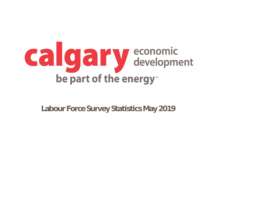

**Labour Force Survey Statistics May 2019**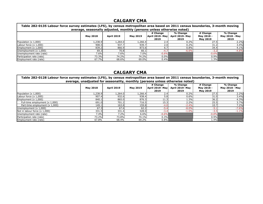| Table 282-0135 Labour force survey estimates (LFS), by census metropolitan area based on 2011 census boundaries, 3-month moving<br>average, seasonally adjusted, monthly (persons unless otherwise noted) |                 |                   |                 |                                            |                                     |                                           |                                           |  |
|-----------------------------------------------------------------------------------------------------------------------------------------------------------------------------------------------------------|-----------------|-------------------|-----------------|--------------------------------------------|-------------------------------------|-------------------------------------------|-------------------------------------------|--|
|                                                                                                                                                                                                           | <b>May 2018</b> | <b>April 2019</b> | <b>May 2019</b> | # Change<br><b>April 2019- May</b><br>2019 | % Change<br>April 2019- May<br>2019 | # Change<br>May 2018 -<br><b>May 2019</b> | % Change<br><b>May 2018 - May</b><br>2019 |  |
| Population $(x 1,000)$                                                                                                                                                                                    | L,238.9         | 1,264.0           | 1,266.4         | 2.4                                        | 0.2%                                | 27.5                                      | 2.2%                                      |  |
| Labour force $(x 1,000)$                                                                                                                                                                                  | 908.5           | 937.7             | 939.7           | 2.0                                        | 0.2%                                | 31.2                                      | 3.4%                                      |  |
| Employment $(x 1,000)$                                                                                                                                                                                    | 839.2           | 866.9             | 873.6           | 6.7                                        | 0.8%                                | 34.4                                      | 4.1%                                      |  |
| Unemployment $(x 1,000)$                                                                                                                                                                                  | 69.3            | 70.8              | 66.1            |                                            | $-6.6%$                             | $-3.2$                                    | $-4.6%$                                   |  |
| Unemployment rate (rate)                                                                                                                                                                                  | 7.6%            | 7.6%              | 7.0%            | $-0.6%$                                    |                                     | $-0.6%$                                   |                                           |  |
| Participation rate (rate)                                                                                                                                                                                 | 73.3%           | 74.2%             | 74.2%           | 0.0%                                       |                                     | 0.9%                                      |                                           |  |
| Employment rate (rate)                                                                                                                                                                                    | 67.7%           | 68.6%             | 69.0%           | 0.4%                                       |                                     | 1.3%                                      |                                           |  |

| Table 282-0128 Labour force survey estimates (LFS), by census metropolitan area based on 2011 census boundaries, 3-month moving<br>average, unadjusted for seasonality, monthly (persons unless otherwise noted) |                 |                   |                 |                                     |                                     |                                           |                                           |  |
|------------------------------------------------------------------------------------------------------------------------------------------------------------------------------------------------------------------|-----------------|-------------------|-----------------|-------------------------------------|-------------------------------------|-------------------------------------------|-------------------------------------------|--|
|                                                                                                                                                                                                                  | <b>May 2018</b> | <b>April 2019</b> | <b>May 2019</b> | # Change<br>April 2019- May<br>2019 | % Change<br>April 2019- May<br>2019 | # Change<br>May 2018 -<br><b>May 2019</b> | % Change<br><b>May 2018 - May</b><br>2019 |  |
| Population $(x 1,000)$                                                                                                                                                                                           | ,238.9          | 1,264.0           | 1,266.4         | 2.4                                 | 0.2%                                | 27.5                                      | 2.2%                                      |  |
| Labour force $(x 1,000)$                                                                                                                                                                                         | 907.4           | 932.6             | 938.4           | 5.8                                 | 0.6%                                | 31.0                                      | 3.4%                                      |  |
| Employment $(x 1,000)$                                                                                                                                                                                           | 840.1           | 865.0             | 876.3           | 11.3                                | 1.3%                                | 36.2                                      | 4.3%                                      |  |
| Full-time employment $(x 1,000)$                                                                                                                                                                                 | 691.0           | 701.2             | 716.5           | 15.3                                | 2.2%                                | 25.5                                      | 3.7%                                      |  |
| Part-time employment (x 1,000)                                                                                                                                                                                   | 149.1           | 163.8             | 159.8           | $-4.0$                              | $-2.4%$                             | 10.7                                      | 7.2%                                      |  |
| Unemployment $(x 1,000)$                                                                                                                                                                                         | 67.3            | 67.6              | 62.2            | $-5.4$                              | $-8.0%$                             | $-5.1$                                    | $-7.6%$                                   |  |
| Not in labour force $(x 1,000)$                                                                                                                                                                                  | 331.5           | 331.4             | 328.0           | $-3.4$                              | $-1.0%$                             | $-3.5$                                    | $-1.1%$                                   |  |
| Unemployment rate (rate)                                                                                                                                                                                         | 7.4%            | 7.2%              | 6.6%            | $-0.6%$                             |                                     | $-0.8%$                                   |                                           |  |
| Participation rate (rate)                                                                                                                                                                                        | 73.2%           | 73.8%             | 74.1%           | 0.3%                                |                                     | 0.9%                                      |                                           |  |
| Employment rate (rate)                                                                                                                                                                                           | 67.8%           | 68.4%             | 69.2%           | $0.8\%$                             |                                     | $1.4\%$                                   |                                           |  |

## **CALGARY CMA**

## **CALGARY CMA**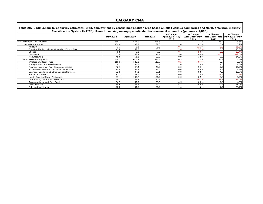| Table 282-0130 Labour force survey estimates (LFS), employment by census metropolitan area based on 2011 census boundaries and North American Industry<br>Classification System (NAICS), 3-month moving average, unadjusted for seasonality, monthly (persons x 1,000) |                 |                   |                |                                     |                                                                         |                  |                  |
|------------------------------------------------------------------------------------------------------------------------------------------------------------------------------------------------------------------------------------------------------------------------|-----------------|-------------------|----------------|-------------------------------------|-------------------------------------------------------------------------|------------------|------------------|
|                                                                                                                                                                                                                                                                        | <b>May 2018</b> | <b>April 2019</b> | <b>May2019</b> | # Change<br>April 2019- May<br>2019 | % Change<br>April 2019- May   May 2018 - May   May 2018 - May  <br>2019 | # Change<br>2019 | % Change<br>2019 |
| Total Employed - All Industries                                                                                                                                                                                                                                        | 840.1           | 865.0             | 876.3          | 11.3                                | 1.3%                                                                    | 36.2             | 4.3%             |
| Goods-Producing Sector                                                                                                                                                                                                                                                 | 189.4           | 188.8             | 189.8          | 1.0                                 | 0.5%                                                                    | 0.4              | 0.2%             |
| Agriculture                                                                                                                                                                                                                                                            | 3.7             | 3.3               | 2.9            | $-0.4$                              | $-12.1%$                                                                | $-0.8$           | $-21.6%$         |
| Forestry, Fishing, Mining, Quarrying, Oil and Gas                                                                                                                                                                                                                      | 49.0            | 57.8              | 55.8           | $-2.0$                              | $-3.5%$                                                                 | 6.8              | 13.9%            |
| <b>Utilities</b>                                                                                                                                                                                                                                                       | 9.8             | 8.0               | 7.6            | $-0.4$                              | $-5.0%$                                                                 | $-2.2$           | $-22.4%$         |
| Construction                                                                                                                                                                                                                                                           | 81.4            | 68.4              | 71.4           | 3.0                                 | 4.4%                                                                    | $-10.0$          | $-12.3%$         |
| Manufacturing                                                                                                                                                                                                                                                          | 45.6            | 51.3              | 52.2           | 0.9                                 | 1.8%                                                                    | 6.6              | 14.5%            |
| Services-Producing Sector                                                                                                                                                                                                                                              | 650.7           | 676.2             | 686.5          | 10.3                                | 1.5%                                                                    | 35.8             | 5.5%             |
| Wholesale & Retail Trade                                                                                                                                                                                                                                               | 119.1           | 120.3             | 119.8          | $-0.5$                              | $-0.4%$                                                                 | 0.7              | 0.6%             |
| Transportation and Warehousing                                                                                                                                                                                                                                         | 54.1            | 53.5              | 55.1           | 1.6                                 | 3.0%                                                                    |                  | 1.8%             |
| Finance, Insurance, Real Estate and Leasing                                                                                                                                                                                                                            | 42.7            | 47.4              | 49.9           | 2.5                                 | 5.3%                                                                    | 7.2              | 16.9%            |
| Professional, Scientific and Technical Services                                                                                                                                                                                                                        | 95.0            | 95.8              | 96.4           | 0.6                                 | 0.6%                                                                    | 1.4              | 1.5%             |
| Business, Building and Other Support Services                                                                                                                                                                                                                          | 32.9            | 37.1              | 37.1           | 0.0                                 | 0.0%                                                                    | 4.2              | 12.8%            |
| <b>Educational Services</b>                                                                                                                                                                                                                                            | 51.2            | 48.9              | 49.8           | 0.9                                 | 1.8%                                                                    | $-1.4$           | $-2.7%$          |
| Health Care and Social Assistance                                                                                                                                                                                                                                      | 97.4            | 100.7             | 101.2          | 0.5                                 | 0.5%                                                                    | 3.8              | 3.9%             |
| Information, Culture and Recreation                                                                                                                                                                                                                                    | 34.3            | 34.7              | 32.6           | $-2.1$                              | $-6.1%$                                                                 | $-1.7$           | $-5.0%$          |
| Accommodation and Food Services                                                                                                                                                                                                                                        | 56.7            | 59.0              | 59.5           | 0.5                                 | 0.8%                                                                    | 2.8              | 4.9%             |
| <b>Other Services</b>                                                                                                                                                                                                                                                  | 38.6            | 44.2              | 49.0           | 4.8                                 | 10.9%                                                                   | 10.4             | 26.9%            |
| <b>Public Administration</b>                                                                                                                                                                                                                                           | 28.8            | 34.6              | 36.2           | 1.6                                 | 4.6%                                                                    | 7.4              | 25.7%            |

# **CALGARY CMA**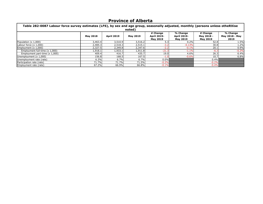| Table 282-0087 Labour force survey estimates (LFS), by sex and age group, seasonally adjusted, monthly (persons unless otheRXise<br>noted) |                 |                   |                 |                                                   |                                                   |                                           |                                           |  |
|--------------------------------------------------------------------------------------------------------------------------------------------|-----------------|-------------------|-----------------|---------------------------------------------------|---------------------------------------------------|-------------------------------------------|-------------------------------------------|--|
|                                                                                                                                            | <b>May 2018</b> | <b>April 2019</b> | <b>May 2019</b> | # Change<br><b>April 2019-</b><br><b>May 2019</b> | % Change<br><b>April 2019-</b><br><b>May 2019</b> | # Change<br>May 2018 -<br><b>May 2019</b> | % Change<br><b>May 2018 - May</b><br>2019 |  |
| Population (x 1,000)                                                                                                                       | 3,463.4         | 3,510.9           | 3,516.2         | 5.3                                               | 0.2%                                              | 52.8                                      | 1.5%                                      |  |
| Labour force $(x 1,000)$                                                                                                                   | 2,484.3         | 2,518.3           | 2,515.1         | $-3.2$                                            | $-0.13%$                                          | 30.8                                      | 1.2%                                      |  |
| Employment $(x 1,000)$                                                                                                                     | 2,327.5         | 2,349.8           | 2,347.6         | $-2.2$                                            | $-0.1%$                                           | 20.1                                      | 0.9%                                      |  |
| Employment full-time (x 1,000)                                                                                                             | 1,918.1         | 1,933.1           | 1,911.8         | $-21.3$                                           | $-1.1%$                                           | $-6.3$                                    | $-0.3%$                                   |  |
| Employment part-time $(x 1,000)$                                                                                                           | 409.4           | 416.7             | 435.7           | 19.0                                              | 4.6%                                              | 26.3                                      | 6.4%                                      |  |
| Unemployment (x 1,000)                                                                                                                     | 156.8           | 168.5             | 167.5           | $-1.0$                                            | $-0.6%$                                           | 10.7                                      | 6.8%                                      |  |
| Unemployment rate (rate)                                                                                                                   | 6.3%            | 6.7%              | 6.7%            | 0.0%                                              |                                                   | 0.4%                                      |                                           |  |
| Participation rate (rate)                                                                                                                  | 71.7%           | 71.7%             | 71.5%           | $-0.2%$                                           |                                                   | $-0.2%$                                   |                                           |  |
| Employment rate (rate)                                                                                                                     | 67.2%           | 66.9%             | 66.8%           | $-0.1%$                                           |                                                   | $-0.4%$                                   |                                           |  |

# **Province of Alberta**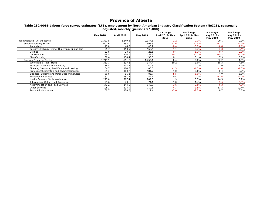| Table 282-0088 Labour force survey estimates (LFS), employment by North American Industry Classification System (NAICS), seasonally<br>adjusted, monthly (persons x 1,000) |                 |                   |                 |                                     |                                     |                                           |                                           |
|----------------------------------------------------------------------------------------------------------------------------------------------------------------------------|-----------------|-------------------|-----------------|-------------------------------------|-------------------------------------|-------------------------------------------|-------------------------------------------|
|                                                                                                                                                                            | <b>May 2018</b> | <b>April 2019</b> | <b>May 2019</b> | # Change<br>April 2019- May<br>2019 | % Change<br>April 2019- May<br>2019 | # Change<br>May 2018 -<br><b>May 2019</b> | % Change<br>May 2018 -<br><b>May 2019</b> |
| Total Employed - All Industries                                                                                                                                            | 2,327.5         | 2,349.8           | 2,347.6         | $-2.2$                              | $-0.1%$                             | 20.1                                      | 0.9%                                      |
| Goods-Producing Sector                                                                                                                                                     | 607.6           | 598.1             | 595.5           | $-2.6$                              | $-0.4%$                             | $-12.1$                                   | $-2.0%$                                   |
| Agriculture                                                                                                                                                                | 49.0            | 48.6              | 48.2            | $-0.4$                              | $-0.8%$                             | $-0.8$                                    | $-1.6%$                                   |
| Forestry, Fishing, Mining, Quarrying, Oil and Gas                                                                                                                          | 155.7           | 153.5             | 152.4           | $-1.1$                              | $-0.7%$                             | $-3.3$                                    | $-2.1%$                                   |
| <b>Utilities</b>                                                                                                                                                           | 23.8            | 23.5              | 23.1            | $-0.4$                              | $-1.7%$                             | $-0.7$                                    | $-2.9%$                                   |
| Construction                                                                                                                                                               | 248.5           | 234.0             | 233.3           | $-0.7$                              | $-0.3%$                             | $-15.2$                                   | $-6.1%$                                   |
| Manufacturing                                                                                                                                                              | 130.6           | 138.4             | 138.5           | 0.1                                 | 0.1%                                | 7.9                                       | 6.0%                                      |
| Services-Producing Sector                                                                                                                                                  | L,719.9         | .,751.7           | ,752.1          | 0.4                                 | $0.0\%$                             | 32.2                                      | 1.9%                                      |
| Wholesale & Retail Trade                                                                                                                                                   | 332.1           | 337.2             | 347.4           | 10.2                                | 3.0%                                | 15.3                                      | 4.6%                                      |
| Transportation and Warehousing                                                                                                                                             | 138.5           | 137.3             | 140.5           | 3.2                                 | 2.3%                                | 2.0                                       | 1.4%                                      |
| Finance, Insurance, Real Estate and Leasing                                                                                                                                | 104.7           | 104.6             | 103.3           | $-1.3$                              | $-1.2%$                             | $-1.4$                                    | $-1.3%$                                   |
| Professional, Scientific and Technical Services                                                                                                                            | 181.3           | 180.7             | 181.7           | 1.0                                 | 0.6%                                | 0.4                                       | 0.2%                                      |
| Business, Building and Other Support Services                                                                                                                              | 80.8            | 91.2              | 85.7            | $-5.5$                              | $-6.0%$                             | 4.9                                       | 6.1%                                      |
| <b>Educational Services</b>                                                                                                                                                | 163.7           | 151.7             | 152.1           | 0.4                                 | 0.3%                                | $-11.6$                                   | $-7.1%$                                   |
| Health Care and Social Assistance                                                                                                                                          | 275.0           | 287.4             | 289.3           | 1.9                                 | 0.7%                                | 14.3                                      | 5.2%                                      |
| Information, Culture and Recreation                                                                                                                                        | 79.6            | 73.1              | 74.1            | 1.0                                 | 1.4%                                | $-5.5$                                    | $-6.9%$                                   |
| Accommodation and Food Services                                                                                                                                            | 147.2           | 144.5             | 140.9           | $-3.6$                              | $-2.5%$                             | $-6.3$                                    | $-4.3%$                                   |
| <b>Other Services</b>                                                                                                                                                      | 108.3           | 123.9             | 119.6           | $-4.3$                              | $-3.5%$                             | 11.3                                      | 10.4%                                     |
| <b>Public Administration</b>                                                                                                                                               | 108.7           | 120.0             | 117.4           | $-2.6$                              | $-2.2%$                             | 8.7                                       | 8.0%                                      |

# **Province of Alberta**

 $\blacksquare$ 

| Table 282-0088 Labour force survey estimates (LFS), employment by North American Industry Cla |
|-----------------------------------------------------------------------------------------------|
| adjusted, monthly (persons x 1,000)                                                           |

 $\mathbf{r}$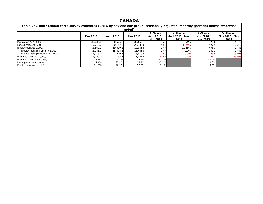| Table 282-0087 Labour force survey estimates (LFS), by sex and age group, seasonally adjusted, monthly (persons unless otherwise |                 |                   |                           |                                                    |                                             |                                           |                                           |  |
|----------------------------------------------------------------------------------------------------------------------------------|-----------------|-------------------|---------------------------|----------------------------------------------------|---------------------------------------------|-------------------------------------------|-------------------------------------------|--|
|                                                                                                                                  | <b>May 2018</b> | <b>April 2019</b> | noted)<br><b>May 2019</b> | # Change<br><b>April 2019 -</b><br><b>May 2019</b> | % Change<br><b>April 2019 - May</b><br>2019 | # Change<br>May 2018 -<br><b>May 2019</b> | % Change<br><b>May 2018 - May</b><br>2019 |  |
| Population (x 1,000)                                                                                                             | 30,233.8        | 30,625.8          | 30,662.4                  | 36.6                                               | 0.1%                                        | 428.6                                     | 1.4%                                      |  |
| Labour force $(x 1,000)$                                                                                                         | 19,710.7        | 20,187.8          | 20,138.6                  | $-49.2$                                            | $-0.24%$                                    | 427.9                                     | 2.2%                                      |  |
| Employment $(x 1,000)$                                                                                                           | 18,560.7        | 19,029.1          | 19,056.8                  | 27.7                                               | 0.146%                                      | 496.1                                     | 2.7%                                      |  |
| Employment full-time (x 1,000)                                                                                                   | 15,085.7        | 15,418.3          | 15,446.0                  | 27.7                                               | 0.2%                                        | 360.3                                     | 2.4%                                      |  |
| Employment part-time $(x 1,000)$                                                                                                 | 3,475.0         | 3,610.8           | 3,610.8                   | 0.0                                                | 0.0%                                        | 135.8                                     | 3.9%                                      |  |
| Unemployment (x 1,000)                                                                                                           | 1,150.0         | 1,158.7           | 1,081.8                   | $-76.9$                                            | $-6.6%$                                     | $-68.2$                                   | $-5.9%$                                   |  |
| Unemployment rate (rate)                                                                                                         | 5.8%            | 5.7%              | 5.4%                      | $-0.3%$                                            |                                             | $-0.4%$                                   |                                           |  |
| Participation rate (rate)                                                                                                        | 65.4%           | 65.9%             | 65.7%                     | $-0.2%$                                            |                                             | $0.3\%$                                   |                                           |  |
| Employment rate (rate)                                                                                                           | 61.6%           | 62.1%             | 62.2%                     | $0.1\%$                                            |                                             | $0.6\%$                                   |                                           |  |

### **CANADA**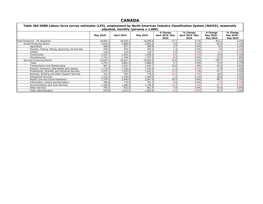| TADIC EVE VVOO EGDOM TOTCC SAFTCY CSUMACS (EFS)/ CHIPIOYMCHU BY NOTUL AMCHONI INGGSU Y CRSSMICAUOH SYSCHIF (NAICS)// SCASONAHY |                 |                   | adjusted, monthly (persons x 1,000) |                                     |                                     |                                           |                                           |
|--------------------------------------------------------------------------------------------------------------------------------|-----------------|-------------------|-------------------------------------|-------------------------------------|-------------------------------------|-------------------------------------------|-------------------------------------------|
|                                                                                                                                | <b>May 2018</b> | <b>April 2019</b> | <b>May 2019</b>                     | # Change<br>April 2019- May<br>2019 | % Change<br>April 2019- May<br>2019 | # Change<br>May 2018 -<br><b>May 2019</b> | % Change<br>May 2018 -<br><b>May 2019</b> |
| Total Employed - All Industries                                                                                                | 18,603.7        | 19,029.1          | 19,056.8                            | 27.7                                | 0.1%                                | 453.1                                     | 2.4%                                      |
| Goods-Producing Sector                                                                                                         | 3,910.5         | 3,988.0           | 3,992.9                             | 4.9                                 | 0.1%                                | 82.4                                      | 2.1%                                      |
| Agriculture                                                                                                                    | 280.8           | 287.1             | 289.8                               | 2.7                                 | 0.9%                                | 9.0                                       | 3.2%                                      |
| Forestry, Fishing, Mining, Quarrying, Oil and Gas                                                                              | 338.4           | 344.1             | 345.4                               | 1.3                                 | 0.4%                                | 7.0 <sub>1</sub>                          | 2.1%                                      |
| <b>Utilities</b>                                                                                                               | 144.0           | 143.5             | 143.7                               | 0.2                                 | 0.1%                                | $-0.3$                                    | $-0.2%$                                   |
| Construction                                                                                                                   | ,422.7          | 1,465.1           | .456.5                              | $-8.6$                              | $-0.6%$                             | 33.8                                      | 2.4%                                      |
| Manufacturing                                                                                                                  | 1,724.7         | 1,748.2           | L,757.6                             | 9.4                                 | 0.5%                                | 32.9                                      | 1.9%                                      |
| Services-Producing Sector                                                                                                      | 14,693.2        | 15,041.1          | 15,063.9                            | 22.8                                | 0.2%                                | 370.7                                     | 2.5%                                      |
| Trade                                                                                                                          | 2,791.1         | 2,861.3           | 2,866.0                             | 4.7                                 | 0.2%                                | 74.9                                      | 2.7%                                      |
| Transportation and Warehousing                                                                                                 | 987.2           | 1,032.7           | 1,042.7                             | 10.0                                | 1.0%                                | 55.5                                      | 5.6%                                      |
| Finance, Insurance, Real Estate and Leasing                                                                                    | 1,176.0         | 1,196.2           | 1,193.9                             | $-2.3$                              | $-0.2%$                             | 17.9                                      | 1.5%                                      |
| Professional, Scientific and Technical Services                                                                                | ,475.1          | 1,525.0           | .,542.2                             | 17.2                                | 1.1%                                | 67.1                                      | 4.5%                                      |
| Business, Building and Other Support Services                                                                                  | 761.9           | 799.3             | 779.9                               | $-19.4$                             | $-2.4%$                             | 18.0                                      | 2.4%                                      |
| <b>Educational Services</b>                                                                                                    | 1,312.0         | 1,348.8           | .,350.0                             | 1.2                                 | 0.1%                                | 38.0                                      | 2.9%                                      |
| <b>Health Care and Social Assistance</b>                                                                                       | 2,378.3         | 2,446.6           | 2,467.0                             | 20.4                                | 0.8%                                | 88.7                                      | 3.7%                                      |
| Information, Culture and Recreation                                                                                            | 786.8           | 776.9             | 781.3                               | 4.4                                 | 0.6%                                | $-5.5$                                    | $-0.7%$                                   |
| <b>Accommodation and Food Services</b>                                                                                         | ,258.5          | ,208.2            | ,195.8                              | $-12.4$                             | $-1.0%$                             | $-62.7$                                   | $-5.0%$                                   |
| <b>Other Services</b>                                                                                                          | 795.5           | 833.5             | 841.4                               | 7.9                                 | 0.9%                                | 45.9                                      | 5.8%                                      |
| <b>Public Administration</b>                                                                                                   | 970.9           | 1,012.5           | 1,003.6                             | $-8.9$                              | $-0.9%$                             | 32.7                                      | 3.4%                                      |

#### **ISSIfication System (NAICS), seasonally**

| Table 282-0088 Labour force survey estimates (LFS), employment by North American Industry Clas |                 |                   |                 |                             |  |  |
|------------------------------------------------------------------------------------------------|-----------------|-------------------|-----------------|-----------------------------|--|--|
| adjusted, monthly (persons $x$ 1,000)                                                          |                 |                   |                 |                             |  |  |
|                                                                                                | <b>May 2018</b> | <b>April 2019</b> | <b>May 2019</b> | # Change<br>April 2019- May |  |  |
|                                                                                                |                 |                   |                 |                             |  |  |

 $\mathcal{A}$ 

## **CANADA**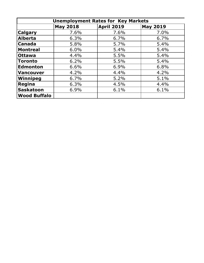| <b>Unemployment Rates for Key Markets</b> |                 |                   |                 |  |  |  |
|-------------------------------------------|-----------------|-------------------|-----------------|--|--|--|
|                                           | <b>May 2018</b> | <b>April 2019</b> | <b>May 2019</b> |  |  |  |
| <b>Calgary</b>                            | 7.6%            | 7.6%              | 7.0%            |  |  |  |
| Alberta                                   | 6.3%            | 6.7%              | 6.7%            |  |  |  |
| <b>Canada</b>                             | 5.8%            | 5.7%              | 5.4%            |  |  |  |
| <b>Montreal</b>                           | 6.0%            | 5.4%              | 5.4%            |  |  |  |
| <b>Ottawa</b>                             | 4.4%            | 5.5%              | 5.4%            |  |  |  |
| <b>Toronto</b>                            | 6.2%            | 5.5%              | 5.4%            |  |  |  |
| <b>Edmonton</b>                           | 6.6%            | 6.9%              | 6.8%            |  |  |  |
| Vancouver                                 | 4.2%            | 4.4%              | 4.2%            |  |  |  |
| Winnipeg                                  | 6.7%            | 5.2%              | 5.1%            |  |  |  |
| Regina                                    | 6.3%            | 4.5%              | 4.4%            |  |  |  |
| Saskatoon                                 | 6.9%            | 6.1%              | 6.1%            |  |  |  |
| <b>Wood Buffalo</b>                       |                 |                   |                 |  |  |  |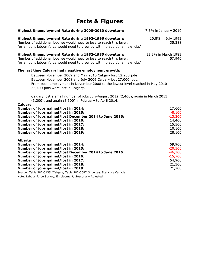# **Facts & Figures**

| Highest Unemployment Rate during 2008-2010 downturn:                                                                                                                                                                                                  | 7.5% in January 2010          |
|-------------------------------------------------------------------------------------------------------------------------------------------------------------------------------------------------------------------------------------------------------|-------------------------------|
| Highest Unemployment Rate during 1992-1996 downturn:<br>Number of additional jobs we would need to lose to reach this level:<br>(or amount labour force would need to grow by with no additional new jobs)                                            | 10.8% in July 1993<br>35,388  |
| Highest Unemployment Rate during 1982-1985 downturn:<br>Number of additional jobs we would need to lose to reach this level:<br>(or amount labour force would need to grow by with no additional new jobs)                                            | 13.2% in March 1983<br>57,940 |
| The last time Calgary had negative employment growth:                                                                                                                                                                                                 |                               |
| Between November 2009 and May 2010 Calgary lost 12,900 jobs.<br>Between November 2008 and July 2009 Calgary lost 27,000 jobs.<br>From peak employment in November 2008 to the lowest level reached in May 2010 -<br>33,400 jobs were lost in Calgary. |                               |
| Calgary lost a small number of jobs July-August 2012 (2,400), again in March 2013<br>(3,200), and again (3,300) in February to April 2014.                                                                                                            |                               |
| Calgary<br>Number of jobs gained/lost in 2014:                                                                                                                                                                                                        | 17,600                        |
| Number of jobs gained/lost in 2015:                                                                                                                                                                                                                   | $-8,100$                      |
| Number of jobs gained/lost December 2014 to June 2016:                                                                                                                                                                                                | $-13,300$                     |
| Number of jobs gained/lost in 2016:                                                                                                                                                                                                                   | 14,400                        |
| Number of jobs gained/lost in 2017:                                                                                                                                                                                                                   | 15,500                        |
| Number of jobs gained/lost in 2018:                                                                                                                                                                                                                   | 10,100                        |
| Number of jobs gained/lost in 2019:                                                                                                                                                                                                                   | 28,100                        |
| <b>Alberta</b>                                                                                                                                                                                                                                        |                               |
| Number of jobs gained/lost in 2014:                                                                                                                                                                                                                   | 59,900                        |
| Number of jobs gained/lost in 2015:                                                                                                                                                                                                                   | $-20,500$                     |
| Number of jobs gained/lost December 2014 to June 2016:                                                                                                                                                                                                | $-46,100$                     |
| Number of jobs gained/lost in 2016:                                                                                                                                                                                                                   | $-15,700$                     |
| Number of jobs gained/lost in 2017:                                                                                                                                                                                                                   | 54,900                        |
| Number of jobs gained/lost in 2018:                                                                                                                                                                                                                   | 21,300                        |
| Number of jobs gained/lost in 2019:                                                                                                                                                                                                                   | 21,200                        |
| Source: Table 282-0135 (Calgary, Table 282-0087 (Alberta), Statistics Canada                                                                                                                                                                          |                               |

Note: Labour Force Survey, Employment, Seasonally Adjusted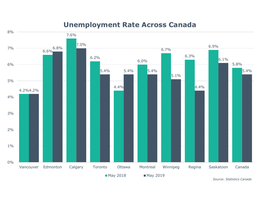### **Unemployment Rate Across Canada**



*Source: Statistics Canada*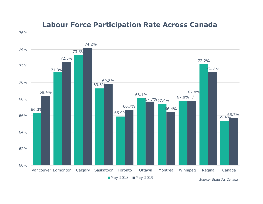

### **Labour Force Participation Rate Across Canada**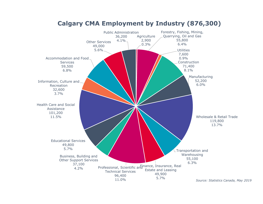

#### **Calgary CMA Employment by Industry (876,300)**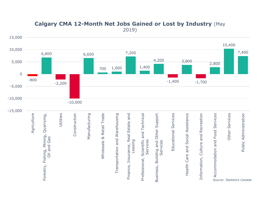

#### **Calgary CMA 12-Month Net Jobs Gained or Lost by Industry** (May 2019)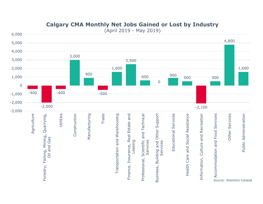

#### **Calgary CMA Monthly Net Jobs Gained or Lost by Industry**

(April 2019 - May 2019)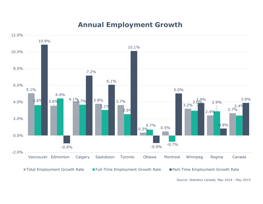### **Annual Employment Growth**



*Source: Statistics Canada, May 2018 - May 2019*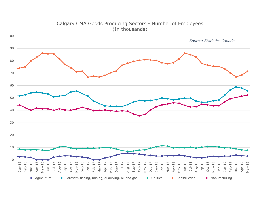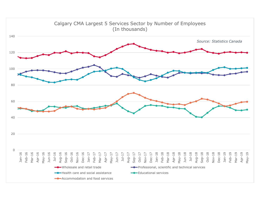